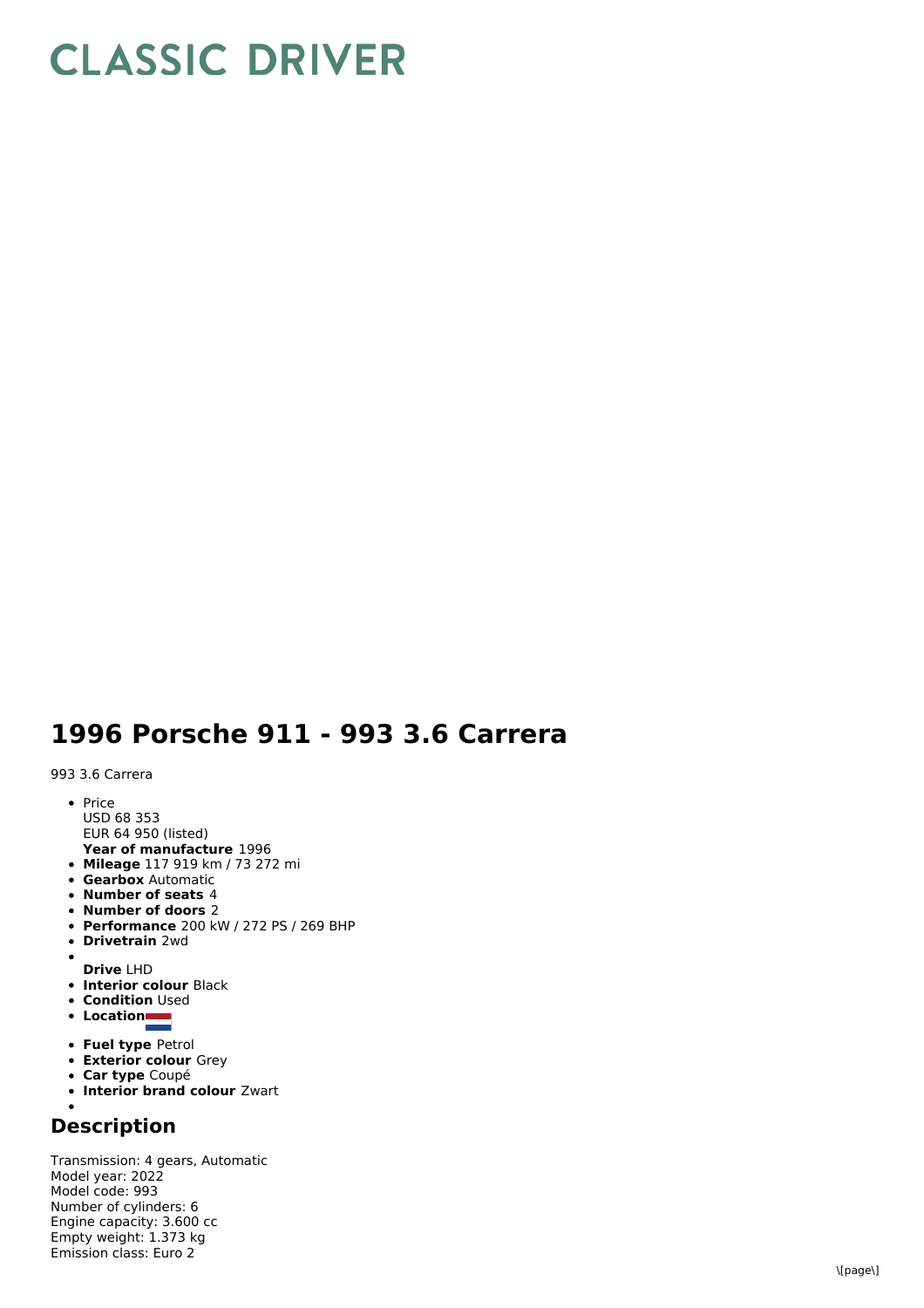## **CLASSIC DRIVER**

## 1996 Porsche 911 - 993 3.6 Carrera

993 3.6 Carrera

- P ric e U S D 6 8 3 5 3
- EUR 64 950 (listed)
- Year of manufacture 1996 **Mileage** 117 919 km / 73 272 mi
- **Gearbox** Automatic
- **Number of seats** 4
- **Number of doors** 2
- **Performance** 200 kW / 272 PS / 269 BHP
- **D riv e t r ain** 2 w d
- $\bullet$
- **D riv e** L H D
- **Interior colour Black Condition** Used
- **L o c a tio n**
- 
- **Fuel type Petrol**
- **Exterior colour** Grey
- **C a r t y p e** C o u p é
- **Interior brand colour Zwart**

## **D e s c rip tio n**

Transmission: 4 gears, Automatic Model year: 2022 M o d el c o d e: 9 9 3 N u m b e r o fc ylin d e r s: 6 Engine capacity: 3.600 cc E m p t y w eig h t: 1.3 7 3 k g E mis sio n cla s s: E u r o 2